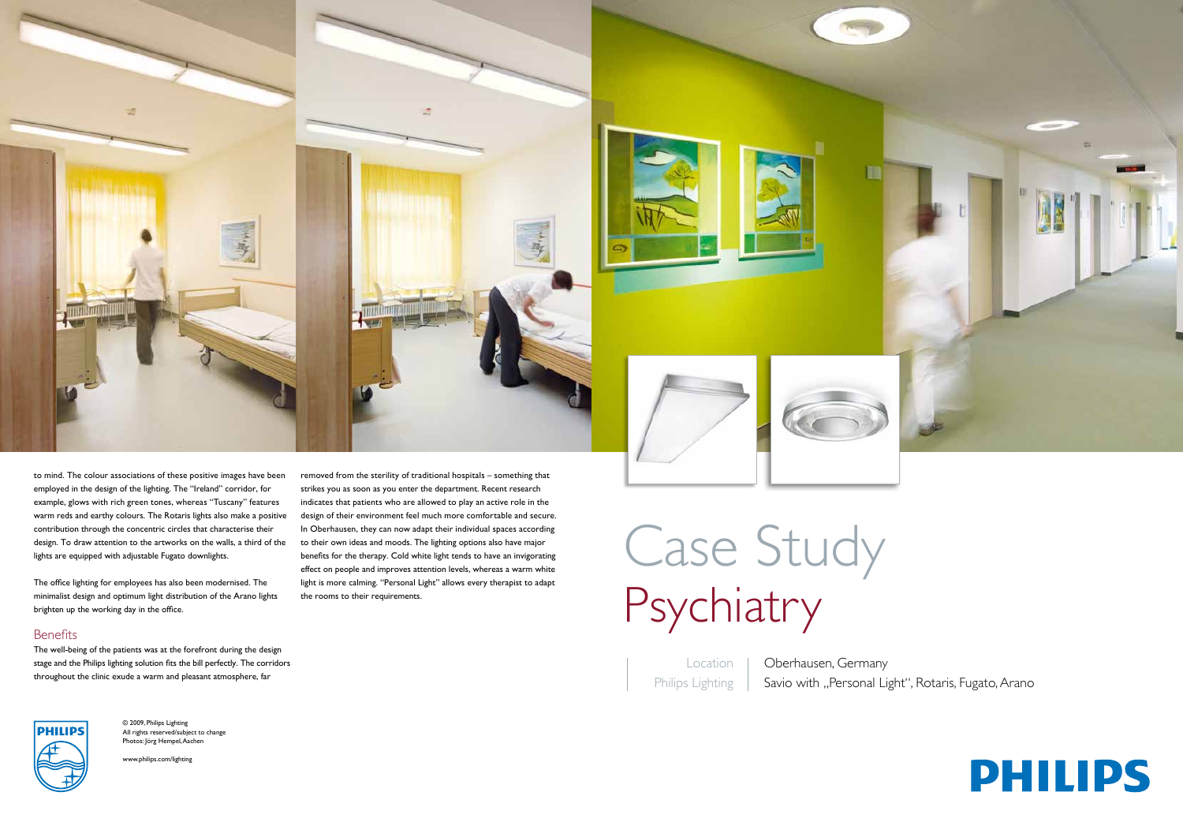Location Philips Lighting

Oberhausen, Germany Savio with "Personal Light", Rotaris, Fugato, Arano



# Case Study Psychiatry







to mind. The colour associations of these positive images have been employed in the design of the lighting. The "Ireland" corridor, for example, glows with rich green tones, whereas "Tuscany" features warm reds and earthy colours. The Rotaris lights also make a positive contribution through the concentric circles that characterise their design. To draw attention to the artworks on the walls, a third of the lights are equipped with adjustable Fugato downlights.

The office lighting for employees has also been modernised. The minimalist design and optimum light distribution of the Arano lights brighten up the working day in the office.

## **Benefits**

The well-being of the patients was at the forefront during the design stage and the Philips lighting solution fits the bill perfectly. The corridors throughout the clinic exude a warm and pleasant atmosphere, far

removed from the sterility of traditional hospitals – something that strikes you as soon as you enter the department. Recent research indicates that patients who are allowed to play an active role in the design of their environment feel much more comfortable and secure. In Oberhausen, they can now adapt their individual spaces according to their own ideas and moods. The lighting options also have major benefits for the therapy. Cold white light tends to have an invigorating effect on people and improves attention levels, whereas a warm white light is more calming. "Personal Light" allows every therapist to adapt the rooms to their requirements.

© 2009, Philips Lighting All rights reserved/subject to change Photos: Jörg Hempel, Aachen

www.philips.com/lighting